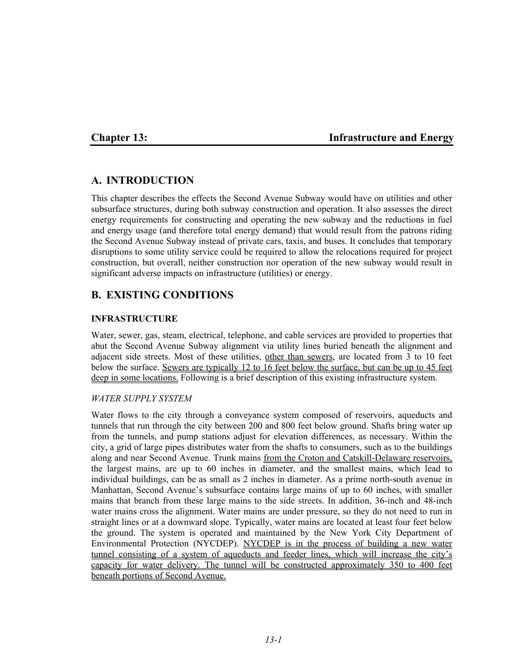# **Chapter 13: Infrastructure and Energy**

# **A. INTRODUCTION**

This chapter describes the effects the Second Avenue Subway would have on utilities and other subsurface structures, during both subway construction and operation. It also assesses the direct energy requirements for constructing and operating the new subway and the reductions in fuel and energy usage (and therefore total energy demand) that would result from the patrons riding the Second Avenue Subway instead of private cars, taxis, and buses. It concludes that temporary disruptions to some utility service could be required to allow the relocations required for project construction, but overall, neither construction nor operation of the new subway would result in significant adverse impacts on infrastructure (utilities) or energy.

# **B. EXISTING CONDITIONS**

## **INFRASTRUCTURE**

Water, sewer, gas, steam, electrical, telephone, and cable services are provided to properties that abut the Second Avenue Subway alignment via utility lines buried beneath the alignment and adjacent side streets. Most of these utilities, other than sewers, are located from 3 to 10 feet below the surface. Sewers are typically 12 to 16 feet below the surface, but can be up to 45 feet deep in some locations. Following is a brief description of this existing infrastructure system.

### *WATER SUPPLY SYSTEM*

Water flows to the city through a conveyance system composed of reservoirs, aqueducts and tunnels that run through the city between 200 and 800 feet below ground. Shafts bring water up from the tunnels, and pump stations adjust for elevation differences, as necessary. Within the city, a grid of large pipes distributes water from the shafts to consumers, such as to the buildings along and near Second Avenue. Trunk mains from the Croton and Catskill-Delaware reservoirs, the largest mains, are up to 60 inches in diameter, and the smallest mains, which lead to individual buildings, can be as small as 2 inches in diameter. As a prime north-south avenue in Manhattan, Second Avenue's subsurface contains large mains of up to 60 inches, with smaller mains that branch from these large mains to the side streets. In addition, 36-inch and 48-inch water mains cross the alignment. Water mains are under pressure, so they do not need to run in straight lines or at a downward slope. Typically, water mains are located at least four feet below the ground. The system is operated and maintained by the New York City Department of Environmental Protection (NYCDEP). NYCDEP is in the process of building a new water tunnel consisting of a system of aqueducts and feeder lines, which will increase the city's capacity for water delivery. The tunnel will be constructed approximately 350 to 400 feet beneath portions of Second Avenue.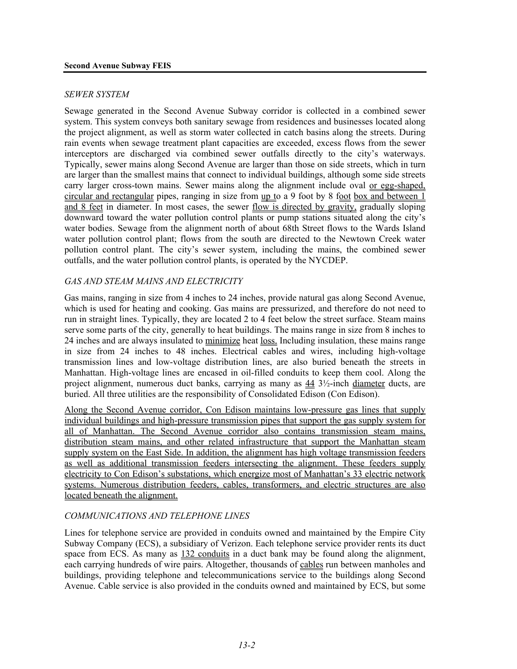#### *SEWER SYSTEM*

Sewage generated in the Second Avenue Subway corridor is collected in a combined sewer system. This system conveys both sanitary sewage from residences and businesses located along the project alignment, as well as storm water collected in catch basins along the streets. During rain events when sewage treatment plant capacities are exceeded, excess flows from the sewer interceptors are discharged via combined sewer outfalls directly to the city's waterways. Typically, sewer mains along Second Avenue are larger than those on side streets, which in turn are larger than the smallest mains that connect to individual buildings, although some side streets carry larger cross-town mains. Sewer mains along the alignment include oval or egg-shaped, circular and rectangular pipes, ranging in size from up to a 9 foot by 8 foot box and between 1 and 8 feet in diameter. In most cases, the sewer flow is directed by gravity, gradually sloping downward toward the water pollution control plants or pump stations situated along the city's water bodies. Sewage from the alignment north of about 68th Street flows to the Wards Island water pollution control plant; flows from the south are directed to the Newtown Creek water pollution control plant. The city's sewer system, including the mains, the combined sewer outfalls, and the water pollution control plants, is operated by the NYCDEP.

## *GAS AND STEAM MAINS AND ELECTRICITY*

Gas mains, ranging in size from 4 inches to 24 inches, provide natural gas along Second Avenue, which is used for heating and cooking. Gas mains are pressurized, and therefore do not need to run in straight lines. Typically, they are located 2 to 4 feet below the street surface. Steam mains serve some parts of the city, generally to heat buildings. The mains range in size from 8 inches to 24 inches and are always insulated to minimize heat loss. Including insulation, these mains range in size from 24 inches to 48 inches. Electrical cables and wires, including high-voltage transmission lines and low-voltage distribution lines, are also buried beneath the streets in Manhattan. High-voltage lines are encased in oil-filled conduits to keep them cool. Along the project alignment, numerous duct banks, carrying as many as 44 3½-inch diameter ducts, are buried. All three utilities are the responsibility of Consolidated Edison (Con Edison).

Along the Second Avenue corridor, Con Edison maintains low-pressure gas lines that supply individual buildings and high-pressure transmission pipes that support the gas supply system for all of Manhattan. The Second Avenue corridor also contains transmission steam mains, distribution steam mains, and other related infrastructure that support the Manhattan steam supply system on the East Side. In addition, the alignment has high voltage transmission feeders as well as additional transmission feeders intersecting the alignment. These feeders supply electricity to Con Edison's substations, which energize most of Manhattan's 33 electric network systems. Numerous distribution feeders, cables, transformers, and electric structures are also located beneath the alignment.

### *COMMUNICATIONS AND TELEPHONE LINES*

Lines for telephone service are provided in conduits owned and maintained by the Empire City Subway Company (ECS), a subsidiary of Verizon. Each telephone service provider rents its duct space from ECS. As many as 132 conduits in a duct bank may be found along the alignment, each carrying hundreds of wire pairs. Altogether, thousands of cables run between manholes and buildings, providing telephone and telecommunications service to the buildings along Second Avenue. Cable service is also provided in the conduits owned and maintained by ECS, but some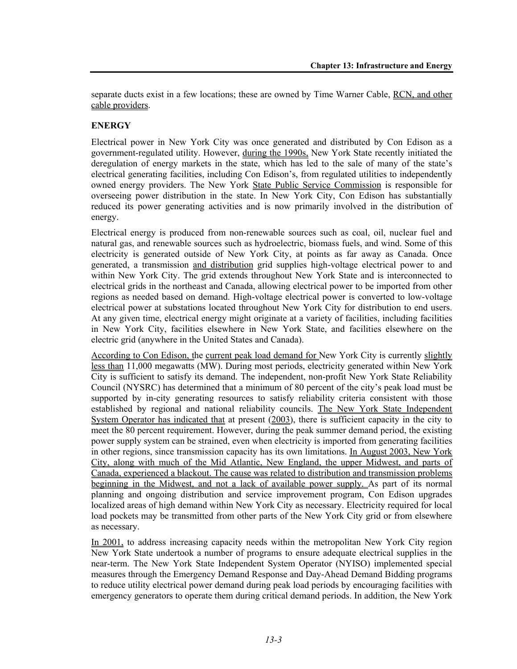separate ducts exist in a few locations; these are owned by Time Warner Cable, RCN, and other cable providers.

# **ENERGY**

Electrical power in New York City was once generated and distributed by Con Edison as a government-regulated utility. However, during the 1990s, New York State recently initiated the deregulation of energy markets in the state, which has led to the sale of many of the state's electrical generating facilities, including Con Edison's, from regulated utilities to independently owned energy providers. The New York State Public Service Commission is responsible for overseeing power distribution in the state. In New York City, Con Edison has substantially reduced its power generating activities and is now primarily involved in the distribution of energy.

Electrical energy is produced from non-renewable sources such as coal, oil, nuclear fuel and natural gas, and renewable sources such as hydroelectric, biomass fuels, and wind. Some of this electricity is generated outside of New York City, at points as far away as Canada. Once generated, a transmission and distribution grid supplies high-voltage electrical power to and within New York City. The grid extends throughout New York State and is interconnected to electrical grids in the northeast and Canada, allowing electrical power to be imported from other regions as needed based on demand. High-voltage electrical power is converted to low-voltage electrical power at substations located throughout New York City for distribution to end users. At any given time, electrical energy might originate at a variety of facilities, including facilities in New York City, facilities elsewhere in New York State, and facilities elsewhere on the electric grid (anywhere in the United States and Canada).

According to Con Edison, the current peak load demand for New York City is currently slightly less than 11,000 megawatts (MW). During most periods, electricity generated within New York City is sufficient to satisfy its demand. The independent, non-profit New York State Reliability Council (NYSRC) has determined that a minimum of 80 percent of the city's peak load must be supported by in-city generating resources to satisfy reliability criteria consistent with those established by regional and national reliability councils. The New York State Independent System Operator has indicated that at present (2003), there is sufficient capacity in the city to meet the 80 percent requirement. However, during the peak summer demand period, the existing power supply system can be strained, even when electricity is imported from generating facilities in other regions, since transmission capacity has its own limitations. In August 2003, New York City, along with much of the Mid Atlantic, New England, the upper Midwest, and parts of Canada, experienced a blackout. The cause was related to distribution and transmission problems beginning in the Midwest, and not a lack of available power supply. As part of its normal planning and ongoing distribution and service improvement program, Con Edison upgrades localized areas of high demand within New York City as necessary. Electricity required for local load pockets may be transmitted from other parts of the New York City grid or from elsewhere as necessary.

In 2001, to address increasing capacity needs within the metropolitan New York City region New York State undertook a number of programs to ensure adequate electrical supplies in the near-term. The New York State Independent System Operator (NYISO) implemented special measures through the Emergency Demand Response and Day-Ahead Demand Bidding programs to reduce utility electrical power demand during peak load periods by encouraging facilities with emergency generators to operate them during critical demand periods. In addition, the New York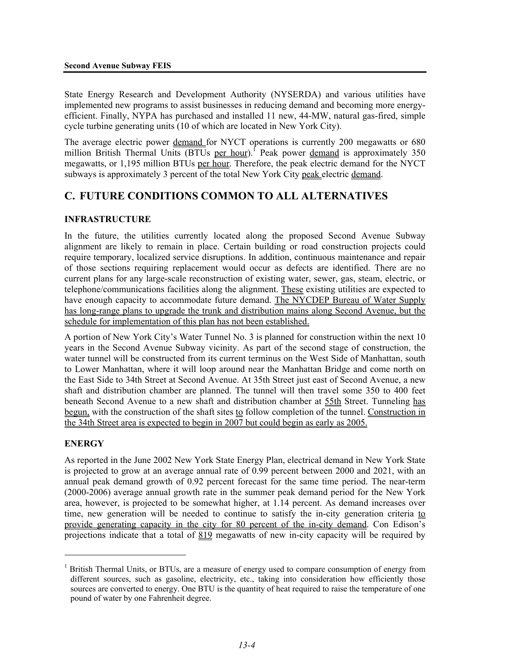State Energy Research and Development Authority (NYSERDA) and various utilities have implemented new programs to assist businesses in reducing demand and becoming more energyefficient. Finally, NYPA has purchased and installed 11 new, 44-MW, natural gas-fired, simple cycle turbine generating units (10 of which are located in New York City).

The average electric power demand for NYCT operations is currently 200 megawatts or 680 million British Thermal Units  $(BTUs$  per hour).<sup>1</sup> Peak power demand is approximately 350 megawatts, or 1,195 million BTUs per hour. Therefore, the peak electric demand for the NYCT subways is approximately 3 percent of the total New York City peak electric demand.

# **C. FUTURE CONDITIONS COMMON TO ALL ALTERNATIVES**

## **INFRASTRUCTURE**

In the future, the utilities currently located along the proposed Second Avenue Subway alignment are likely to remain in place. Certain building or road construction projects could require temporary, localized service disruptions. In addition, continuous maintenance and repair of those sections requiring replacement would occur as defects are identified. There are no current plans for any large-scale reconstruction of existing water, sewer, gas, steam, electric, or telephone/communications facilities along the alignment. These existing utilities are expected to have enough capacity to accommodate future demand. The NYCDEP Bureau of Water Supply has long-range plans to upgrade the trunk and distribution mains along Second Avenue, but the schedule for implementation of this plan has not been established.

A portion of New York City's Water Tunnel No. 3 is planned for construction within the next 10 years in the Second Avenue Subway vicinity. As part of the second stage of construction, the water tunnel will be constructed from its current terminus on the West Side of Manhattan, south to Lower Manhattan, where it will loop around near the Manhattan Bridge and come north on the East Side to 34th Street at Second Avenue. At 35th Street just east of Second Avenue, a new shaft and distribution chamber are planned. The tunnel will then travel some 350 to 400 feet beneath Second Avenue to a new shaft and distribution chamber at 55th Street. Tunneling has begun, with the construction of the shaft sites to follow completion of the tunnel. Construction in the 34th Street area is expected to begin in 2007 but could begin as early as 2005.

## **ENERGY**

<u>.</u>

As reported in the June 2002 New York State Energy Plan, electrical demand in New York State is projected to grow at an average annual rate of 0.99 percent between 2000 and 2021, with an annual peak demand growth of 0.92 percent forecast for the same time period. The near-term (2000-2006) average annual growth rate in the summer peak demand period for the New York area, however, is projected to be somewhat higher, at 1.14 percent. As demand increases over time, new generation will be needed to continue to satisfy the in-city generation criteria to provide generating capacity in the city for 80 percent of the in-city demand. Con Edison's projections indicate that a total of 819 megawatts of new in-city capacity will be required by

<sup>&</sup>lt;sup>1</sup> British Thermal Units, or BTUs, are a measure of energy used to compare consumption of energy from different sources, such as gasoline, electricity, etc., taking into consideration how efficiently those sources are converted to energy. One BTU is the quantity of heat required to raise the temperature of one pound of water by one Fahrenheit degree.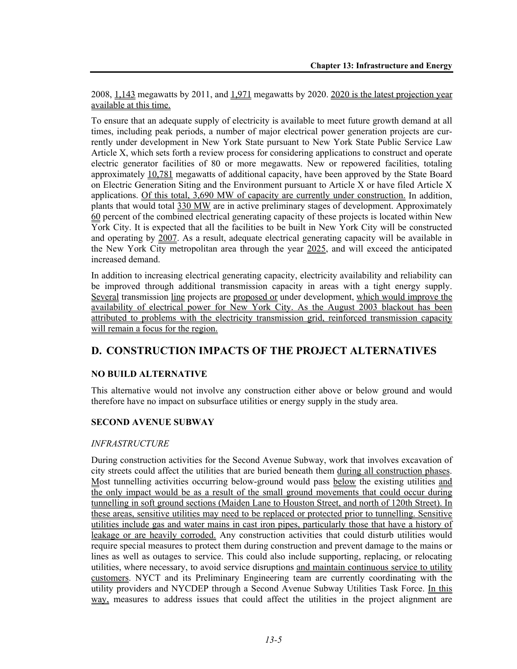2008, 1,143 megawatts by 2011, and 1,971 megawatts by 2020. 2020 is the latest projection year available at this time.

To ensure that an adequate supply of electricity is available to meet future growth demand at all times, including peak periods, a number of major electrical power generation projects are currently under development in New York State pursuant to New York State Public Service Law Article X, which sets forth a review process for considering applications to construct and operate electric generator facilities of 80 or more megawatts. New or repowered facilities, totaling approximately 10,781 megawatts of additional capacity, have been approved by the State Board on Electric Generation Siting and the Environment pursuant to Article X or have filed Article X applications. Of this total, 3,690 MW of capacity are currently under construction. In addition, plants that would total 330 MW are in active preliminary stages of development. Approximately 60 percent of the combined electrical generating capacity of these projects is located within New York City. It is expected that all the facilities to be built in New York City will be constructed and operating by 2007. As a result, adequate electrical generating capacity will be available in the New York City metropolitan area through the year 2025, and will exceed the anticipated increased demand.

In addition to increasing electrical generating capacity, electricity availability and reliability can be improved through additional transmission capacity in areas with a tight energy supply. Several transmission line projects are proposed or under development, which would improve the availability of electrical power for New York City. As the August 2003 blackout has been attributed to problems with the electricity transmission grid, reinforced transmission capacity will remain a focus for the region.

# **D. CONSTRUCTION IMPACTS OF THE PROJECT ALTERNATIVES**

## **NO BUILD ALTERNATIVE**

This alternative would not involve any construction either above or below ground and would therefore have no impact on subsurface utilities or energy supply in the study area.

## **SECOND AVENUE SUBWAY**

### *INFRASTRUCTURE*

During construction activities for the Second Avenue Subway, work that involves excavation of city streets could affect the utilities that are buried beneath them during all construction phases. Most tunnelling activities occurring below-ground would pass below the existing utilities and the only impact would be as a result of the small ground movements that could occur during tunnelling in soft ground sections (Maiden Lane to Houston Street, and north of 120th Street). In these areas, sensitive utilities may need to be replaced or protected prior to tunnelling. Sensitive utilities include gas and water mains in cast iron pipes, particularly those that have a history of leakage or are heavily corroded. Any construction activities that could disturb utilities would require special measures to protect them during construction and prevent damage to the mains or lines as well as outages to service. This could also include supporting, replacing, or relocating utilities, where necessary, to avoid service disruptions and maintain continuous service to utility customers. NYCT and its Preliminary Engineering team are currently coordinating with the utility providers and NYCDEP through a Second Avenue Subway Utilities Task Force. In this way, measures to address issues that could affect the utilities in the project alignment are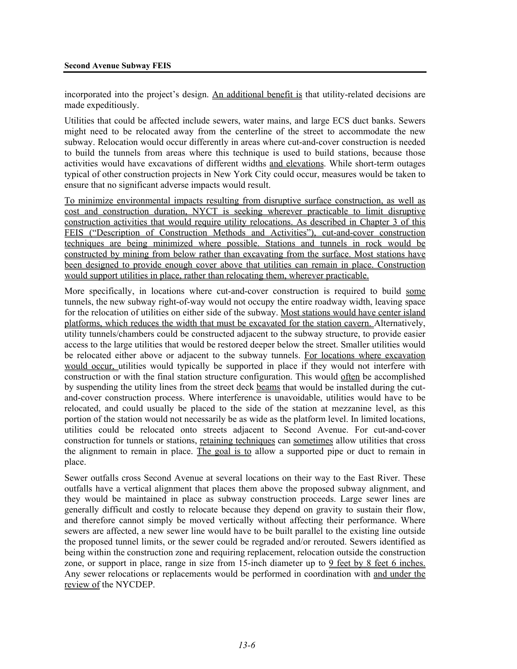incorporated into the project's design. An additional benefit is that utility-related decisions are made expeditiously.

Utilities that could be affected include sewers, water mains, and large ECS duct banks. Sewers might need to be relocated away from the centerline of the street to accommodate the new subway. Relocation would occur differently in areas where cut-and-cover construction is needed to build the tunnels from areas where this technique is used to build stations, because those activities would have excavations of different widths and elevations. While short-term outages typical of other construction projects in New York City could occur, measures would be taken to ensure that no significant adverse impacts would result.

To minimize environmental impacts resulting from disruptive surface construction, as well as cost and construction duration, NYCT is seeking wherever practicable to limit disruptive construction activities that would require utility relocations. As described in Chapter 3 of this FEIS ("Description of Construction Methods and Activities"), cut-and-cover construction techniques are being minimized where possible. Stations and tunnels in rock would be constructed by mining from below rather than excavating from the surface. Most stations have been designed to provide enough cover above that utilities can remain in place. Construction would support utilities in place, rather than relocating them, wherever practicable.

More specifically, in locations where cut-and-cover construction is required to build some tunnels, the new subway right-of-way would not occupy the entire roadway width, leaving space for the relocation of utilities on either side of the subway. Most stations would have center island platforms, which reduces the width that must be excavated for the station cavern. Alternatively, utility tunnels/chambers could be constructed adjacent to the subway structure, to provide easier access to the large utilities that would be restored deeper below the street. Smaller utilities would be relocated either above or adjacent to the subway tunnels. For locations where excavation would occur, utilities would typically be supported in place if they would not interfere with construction or with the final station structure configuration. This would often be accomplished by suspending the utility lines from the street deck beams that would be installed during the cutand-cover construction process. Where interference is unavoidable, utilities would have to be relocated, and could usually be placed to the side of the station at mezzanine level, as this portion of the station would not necessarily be as wide as the platform level. In limited locations, utilities could be relocated onto streets adjacent to Second Avenue. For cut-and-cover construction for tunnels or stations, retaining techniques can sometimes allow utilities that cross the alignment to remain in place. The goal is to allow a supported pipe or duct to remain in place.

Sewer outfalls cross Second Avenue at several locations on their way to the East River. These outfalls have a vertical alignment that places them above the proposed subway alignment, and they would be maintained in place as subway construction proceeds. Large sewer lines are generally difficult and costly to relocate because they depend on gravity to sustain their flow, and therefore cannot simply be moved vertically without affecting their performance. Where sewers are affected, a new sewer line would have to be built parallel to the existing line outside the proposed tunnel limits, or the sewer could be regraded and/or rerouted. Sewers identified as being within the construction zone and requiring replacement, relocation outside the construction zone, or support in place, range in size from 15-inch diameter up to 9 feet by 8 feet 6 inches. Any sewer relocations or replacements would be performed in coordination with and under the review of the NYCDEP.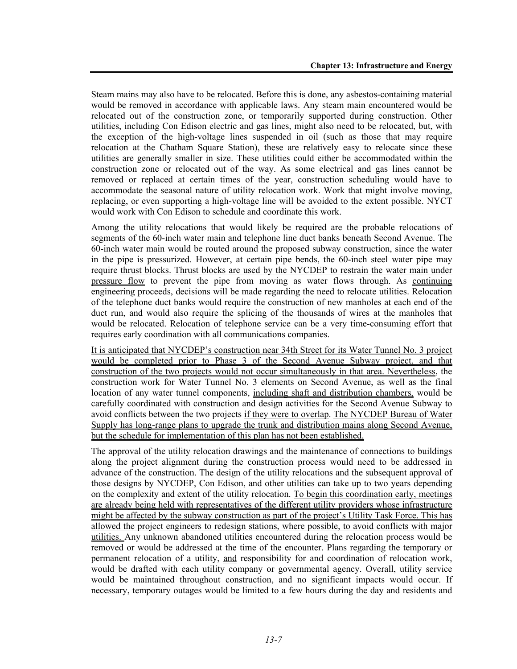Steam mains may also have to be relocated. Before this is done, any asbestos-containing material would be removed in accordance with applicable laws. Any steam main encountered would be relocated out of the construction zone, or temporarily supported during construction. Other utilities, including Con Edison electric and gas lines, might also need to be relocated, but, with the exception of the high-voltage lines suspended in oil (such as those that may require relocation at the Chatham Square Station), these are relatively easy to relocate since these utilities are generally smaller in size. These utilities could either be accommodated within the construction zone or relocated out of the way. As some electrical and gas lines cannot be removed or replaced at certain times of the year, construction scheduling would have to accommodate the seasonal nature of utility relocation work. Work that might involve moving, replacing, or even supporting a high-voltage line will be avoided to the extent possible. NYCT would work with Con Edison to schedule and coordinate this work.

Among the utility relocations that would likely be required are the probable relocations of segments of the 60-inch water main and telephone line duct banks beneath Second Avenue. The 60-inch water main would be routed around the proposed subway construction, since the water in the pipe is pressurized. However, at certain pipe bends, the 60-inch steel water pipe may require thrust blocks. Thrust blocks are used by the NYCDEP to restrain the water main under pressure flow to prevent the pipe from moving as water flows through. As continuing engineering proceeds, decisions will be made regarding the need to relocate utilities. Relocation of the telephone duct banks would require the construction of new manholes at each end of the duct run, and would also require the splicing of the thousands of wires at the manholes that would be relocated. Relocation of telephone service can be a very time-consuming effort that requires early coordination with all communications companies.

It is anticipated that NYCDEP's construction near 34th Street for its Water Tunnel No. 3 project would be completed prior to Phase 3 of the Second Avenue Subway project, and that construction of the two projects would not occur simultaneously in that area. Nevertheless, the construction work for Water Tunnel No. 3 elements on Second Avenue, as well as the final location of any water tunnel components, including shaft and distribution chambers, would be carefully coordinated with construction and design activities for the Second Avenue Subway to avoid conflicts between the two projects if they were to overlap. The NYCDEP Bureau of Water Supply has long-range plans to upgrade the trunk and distribution mains along Second Avenue, but the schedule for implementation of this plan has not been established.

The approval of the utility relocation drawings and the maintenance of connections to buildings along the project alignment during the construction process would need to be addressed in advance of the construction. The design of the utility relocations and the subsequent approval of those designs by NYCDEP, Con Edison, and other utilities can take up to two years depending on the complexity and extent of the utility relocation. To begin this coordination early, meetings are already being held with representatives of the different utility providers whose infrastructure might be affected by the subway construction as part of the project's Utility Task Force. This has allowed the project engineers to redesign stations, where possible, to avoid conflicts with major utilities. Any unknown abandoned utilities encountered during the relocation process would be removed or would be addressed at the time of the encounter. Plans regarding the temporary or permanent relocation of a utility, and responsibility for and coordination of relocation work, would be drafted with each utility company or governmental agency. Overall, utility service would be maintained throughout construction, and no significant impacts would occur. If necessary, temporary outages would be limited to a few hours during the day and residents and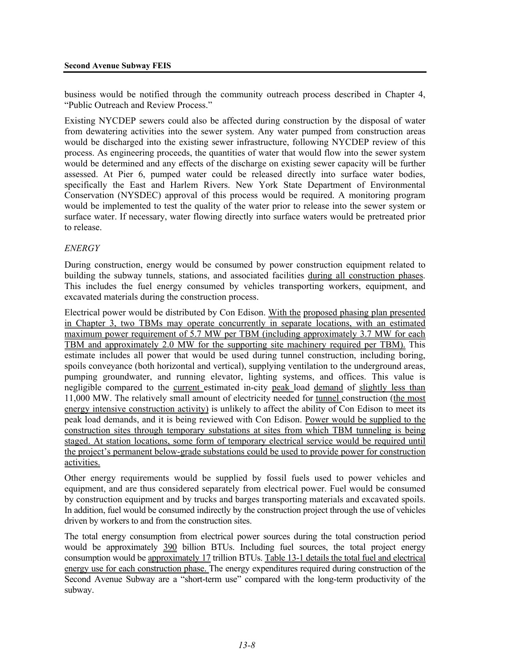business would be notified through the community outreach process described in Chapter 4, "Public Outreach and Review Process."

Existing NYCDEP sewers could also be affected during construction by the disposal of water from dewatering activities into the sewer system. Any water pumped from construction areas would be discharged into the existing sewer infrastructure, following NYCDEP review of this process. As engineering proceeds, the quantities of water that would flow into the sewer system would be determined and any effects of the discharge on existing sewer capacity will be further assessed. At Pier 6, pumped water could be released directly into surface water bodies, specifically the East and Harlem Rivers. New York State Department of Environmental Conservation (NYSDEC) approval of this process would be required. A monitoring program would be implemented to test the quality of the water prior to release into the sewer system or surface water. If necessary, water flowing directly into surface waters would be pretreated prior to release.

### *ENERGY*

During construction, energy would be consumed by power construction equipment related to building the subway tunnels, stations, and associated facilities during all construction phases. This includes the fuel energy consumed by vehicles transporting workers, equipment, and excavated materials during the construction process.

Electrical power would be distributed by Con Edison. With the proposed phasing plan presented in Chapter 3, two TBMs may operate concurrently in separate locations, with an estimated maximum power requirement of 5.7 MW per TBM (including approximately 3.7 MW for each TBM and approximately 2.0 MW for the supporting site machinery required per TBM). This estimate includes all power that would be used during tunnel construction, including boring, spoils conveyance (both horizontal and vertical), supplying ventilation to the underground areas, pumping groundwater, and running elevator, lighting systems, and offices. This value is negligible compared to the current estimated in-city peak load demand of slightly less than 11,000 MW. The relatively small amount of electricity needed for tunnel construction (the most energy intensive construction activity) is unlikely to affect the ability of Con Edison to meet its peak load demands, and it is being reviewed with Con Edison. Power would be supplied to the construction sites through temporary substations at sites from which TBM tunneling is being staged. At station locations, some form of temporary electrical service would be required until the project's permanent below-grade substations could be used to provide power for construction activities.

Other energy requirements would be supplied by fossil fuels used to power vehicles and equipment, and are thus considered separately from electrical power. Fuel would be consumed by construction equipment and by trucks and barges transporting materials and excavated spoils. In addition, fuel would be consumed indirectly by the construction project through the use of vehicles driven by workers to and from the construction sites.

The total energy consumption from electrical power sources during the total construction period would be approximately 390 billion BTUs. Including fuel sources, the total project energy consumption would be approximately 17 trillion BTUs. Table 13-1 details the total fuel and electrical energy use for each construction phase. The energy expenditures required during construction of the Second Avenue Subway are a "short-term use" compared with the long-term productivity of the subway.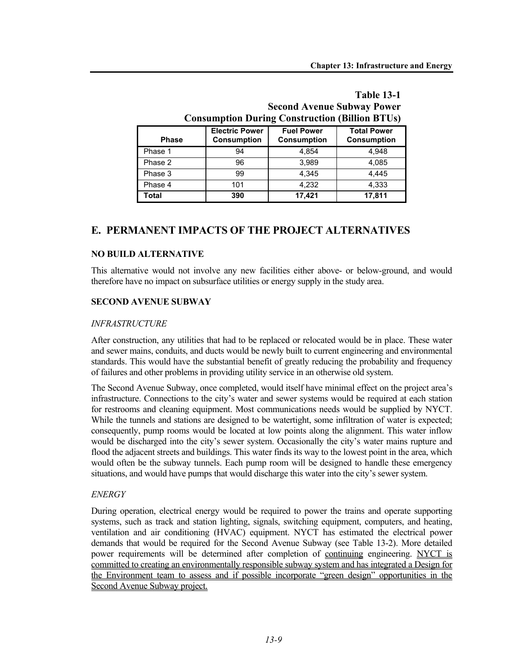| Consumption During Construction (Dimon DT Cs) |                                             |                                         |                                          |  |  |  |
|-----------------------------------------------|---------------------------------------------|-----------------------------------------|------------------------------------------|--|--|--|
| <b>Phase</b>                                  | <b>Electric Power</b><br><b>Consumption</b> | <b>Fuel Power</b><br><b>Consumption</b> | <b>Total Power</b><br><b>Consumption</b> |  |  |  |
| Phase 1                                       | 94                                          | 4.854                                   | 4.948                                    |  |  |  |
| Phase 2                                       | 96                                          | 3.989                                   | 4.085                                    |  |  |  |
| Phase 3                                       | 99                                          | 4.345                                   | 4.445                                    |  |  |  |
| Phase 4                                       | 101                                         | 4.232                                   | 4.333                                    |  |  |  |
| Total                                         | 390                                         | 17,421                                  | 17,811                                   |  |  |  |

# **Table 13-1 Second Avenue Subway Power Consumption During Construction (Billion BTUs)**

# **E. PERMANENT IMPACTS OF THE PROJECT ALTERNATIVES**

### **NO BUILD ALTERNATIVE**

This alternative would not involve any new facilities either above- or below-ground, and would therefore have no impact on subsurface utilities or energy supply in the study area.

### **SECOND AVENUE SUBWAY**

#### *INFRASTRUCTURE*

After construction, any utilities that had to be replaced or relocated would be in place. These water and sewer mains, conduits, and ducts would be newly built to current engineering and environmental standards. This would have the substantial benefit of greatly reducing the probability and frequency of failures and other problems in providing utility service in an otherwise old system.

The Second Avenue Subway, once completed, would itself have minimal effect on the project area's infrastructure. Connections to the city's water and sewer systems would be required at each station for restrooms and cleaning equipment. Most communications needs would be supplied by NYCT. While the tunnels and stations are designed to be watertight, some infiltration of water is expected; consequently, pump rooms would be located at low points along the alignment. This water inflow would be discharged into the city's sewer system. Occasionally the city's water mains rupture and flood the adjacent streets and buildings. This water finds its way to the lowest point in the area, which would often be the subway tunnels. Each pump room will be designed to handle these emergency situations, and would have pumps that would discharge this water into the city's sewer system.

### *ENERGY*

During operation, electrical energy would be required to power the trains and operate supporting systems, such as track and station lighting, signals, switching equipment, computers, and heating, ventilation and air conditioning (HVAC) equipment. NYCT has estimated the electrical power demands that would be required for the Second Avenue Subway (see Table 13-2). More detailed power requirements will be determined after completion of continuing engineering. NYCT is committed to creating an environmentally responsible subway system and has integrated a Design for the Environment team to assess and if possible incorporate "green design" opportunities in the Second Avenue Subway project.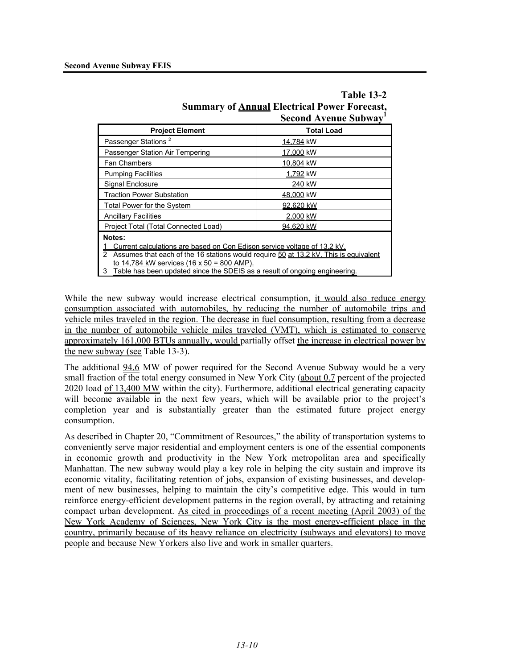|                                                                                                                                                                                                                               | Second Avenue Subway' |  |  |  |  |
|-------------------------------------------------------------------------------------------------------------------------------------------------------------------------------------------------------------------------------|-----------------------|--|--|--|--|
| <b>Project Element</b>                                                                                                                                                                                                        | <b>Total Load</b>     |  |  |  |  |
| Passenger Stations <sup>2</sup>                                                                                                                                                                                               | 14,784 kW             |  |  |  |  |
| Passenger Station Air Tempering                                                                                                                                                                                               | 17,000 kW             |  |  |  |  |
| <b>Fan Chambers</b>                                                                                                                                                                                                           | 10,804 kW             |  |  |  |  |
| <b>Pumping Facilities</b>                                                                                                                                                                                                     | 1,792 kW              |  |  |  |  |
| Signal Enclosure                                                                                                                                                                                                              | 240 kW                |  |  |  |  |
| <b>Traction Power Substation</b>                                                                                                                                                                                              | 48,000 kW             |  |  |  |  |
| Total Power for the System                                                                                                                                                                                                    | 92.620 kW             |  |  |  |  |
| <b>Ancillary Facilities</b>                                                                                                                                                                                                   | 2,000 kW              |  |  |  |  |
| Project Total (Total Connected Load)                                                                                                                                                                                          | 94.620 kW             |  |  |  |  |
| Notes:<br>Current calculations are based on Con Edison service voltage of 13.2 kV.<br>Assumes that each of the 16 stations would require 50 at 13.2 kV. This is equivalent<br>2<br>to 14,784 kW services (16 x 50 = 800 AMP). |                       |  |  |  |  |
| Table has been updated since the SDEIS as a result of ongoing engineering.<br>3                                                                                                                                               |                       |  |  |  |  |

## **Table 13-2 Summary of Annual Electrical Power Forecast, Second Avenue Subway1**

While the new subway would increase electrical consumption, it would also reduce energy consumption associated with automobiles, by reducing the number of automobile trips and vehicle miles traveled in the region. The decrease in fuel consumption, resulting from a decrease in the number of automobile vehicle miles traveled (VMT), which is estimated to conserve approximately 161,000 BTUs annually, would partially offset the increase in electrical power by the new subway (see Table 13-3).

The additional 94.6 MW of power required for the Second Avenue Subway would be a very small fraction of the total energy consumed in New York City (about 0.7 percent of the projected 2020 load of 13,400 MW within the city). Furthermore, additional electrical generating capacity will become available in the next few years, which will be available prior to the project's completion year and is substantially greater than the estimated future project energy consumption.

As described in Chapter 20, "Commitment of Resources," the ability of transportation systems to conveniently serve major residential and employment centers is one of the essential components in economic growth and productivity in the New York metropolitan area and specifically Manhattan. The new subway would play a key role in helping the city sustain and improve its economic vitality, facilitating retention of jobs, expansion of existing businesses, and development of new businesses, helping to maintain the city's competitive edge. This would in turn reinforce energy-efficient development patterns in the region overall, by attracting and retaining compact urban development. As cited in proceedings of a recent meeting (April 2003) of the New York Academy of Sciences, New York City is the most energy-efficient place in the country, primarily because of its heavy reliance on electricity (subways and elevators) to move people and because New Yorkers also live and work in smaller quarters.